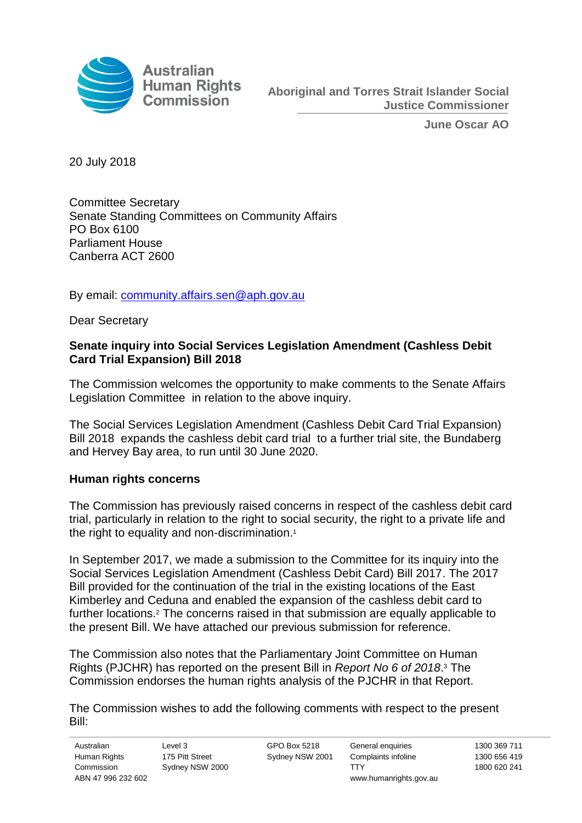

**June Oscar AO**

20 July 2018

Committee Secretary Senate Standing Committees on Community Affairs PO Box 6100 Parliament House Canberra ACT 2600

By email: [community.affairs.sen@aph.gov.au](mailto:community.affairs.sen@aph.gov.au)

Dear Secretary

## **Senate inquiry into Social Services Legislation Amendment (Cashless Debit Card Trial Expansion) Bill 2018**

The Commission welcomes the opportunity to make comments to the Senate Affairs Legislation Committee in relation to the above inquiry.

The Social Services Legislation Amendment (Cashless Debit Card Trial Expansion) Bill 2018 expands the cashless debit card trial to a further trial site, the Bundaberg and Hervey Bay area, to run until 30 June 2020.

## **Human rights concerns**

The Commission has previously raised concerns in respect of the cashless debit card trial, particularly in relation to the right to social security, the right to a private life and the right to equality and non-discrimination. 1

In September 2017, we made a submission to the Committee for its inquiry into the Social Services Legislation Amendment (Cashless Debit Card) Bill 2017. The 2017 Bill provided for the continuation of the trial in the existing locations of the East Kimberley and Ceduna and enabled the expansion of the cashless debit card to further locations. <sup>2</sup> The concerns raised in that submission are equally applicable to the present Bill. We have attached our previous submission for reference.

The Commission also notes that the Parliamentary Joint Committee on Human Rights (PJCHR) has reported on the present Bill in *Report No 6 of 2018*. <sup>3</sup> The Commission endorses the human rights analysis of the PJCHR in that Report.

The Commission wishes to add the following comments with respect to the present Bill: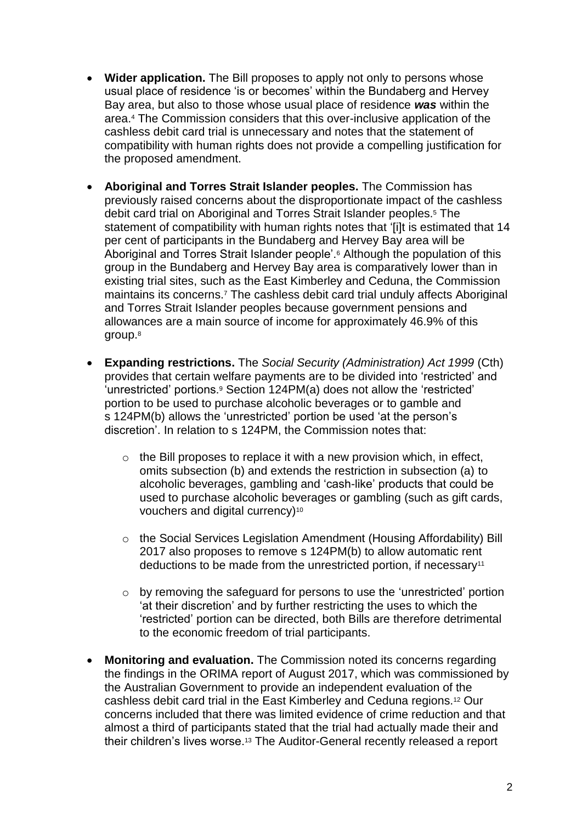- **Wider application.** The Bill proposes to apply not only to persons whose usual place of residence 'is or becomes' within the Bundaberg and Hervey Bay area, but also to those whose usual place of residence *was* within the area.<sup>4</sup> The Commission considers that this over-inclusive application of the cashless debit card trial is unnecessary and notes that the statement of compatibility with human rights does not provide a compelling justification for the proposed amendment.
- **Aboriginal and Torres Strait Islander peoples.** The Commission has previously raised concerns about the disproportionate impact of the cashless debit card trial on Aboriginal and Torres Strait Islander peoples.<sup>5</sup> The statement of compatibility with human rights notes that '[i]t is estimated that 14 per cent of participants in the Bundaberg and Hervey Bay area will be Aboriginal and Torres Strait Islander people'.<sup>6</sup> Although the population of this group in the Bundaberg and Hervey Bay area is comparatively lower than in existing trial sites, such as the East Kimberley and Ceduna, the Commission maintains its concerns.<sup>7</sup> The cashless debit card trial unduly affects Aboriginal and Torres Strait Islander peoples because government pensions and allowances are a main source of income for approximately 46.9% of this group.<sup>8</sup>
- **Expanding restrictions.** The *Social Security (Administration) Act 1999* (Cth) provides that certain welfare payments are to be divided into 'restricted' and 'unrestricted' portions.<sup>9</sup> Section 124PM(a) does not allow the 'restricted' portion to be used to purchase alcoholic beverages or to gamble and s 124PM(b) allows the 'unrestricted' portion be used 'at the person's discretion'. In relation to s 124PM, the Commission notes that:
	- $\circ$  the Bill proposes to replace it with a new provision which, in effect, omits subsection (b) and extends the restriction in subsection (a) to alcoholic beverages, gambling and 'cash-like' products that could be used to purchase alcoholic beverages or gambling (such as gift cards, vouchers and digital currency)<sup>10</sup>
	- o the Social Services Legislation Amendment (Housing Affordability) Bill 2017 also proposes to remove s 124PM(b) to allow automatic rent deductions to be made from the unrestricted portion, if necessary<sup>11</sup>
	- o by removing the safeguard for persons to use the 'unrestricted' portion 'at their discretion' and by further restricting the uses to which the 'restricted' portion can be directed, both Bills are therefore detrimental to the economic freedom of trial participants.
- **Monitoring and evaluation.** The Commission noted its concerns regarding the findings in the ORIMA report of August 2017, which was commissioned by the Australian Government to provide an independent evaluation of the cashless debit card trial in the East Kimberley and Ceduna regions.<sup>12</sup> Our concerns included that there was limited evidence of crime reduction and that almost a third of participants stated that the trial had actually made their and their children's lives worse.<sup>13</sup> The Auditor-General recently released a report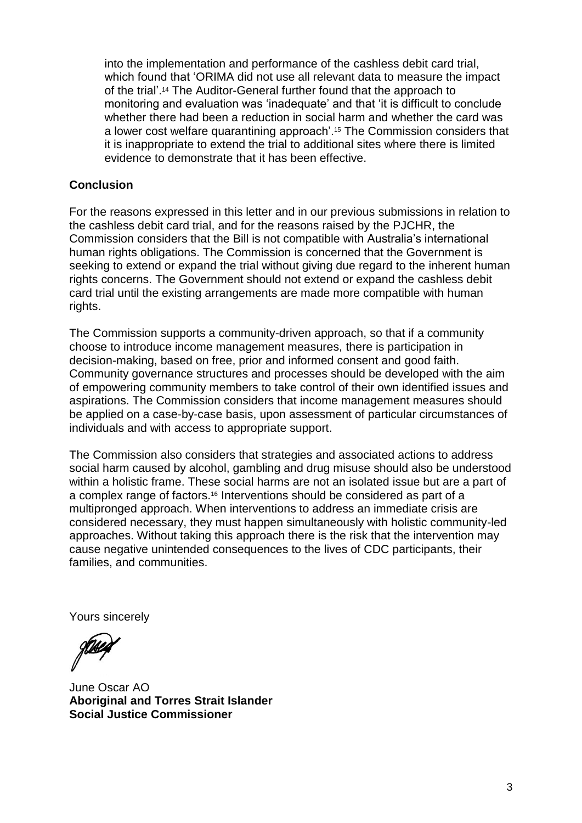into the implementation and performance of the cashless debit card trial, which found that 'ORIMA did not use all relevant data to measure the impact of the trial'. <sup>14</sup> The Auditor-General further found that the approach to monitoring and evaluation was 'inadequate' and that 'it is difficult to conclude whether there had been a reduction in social harm and whether the card was a lower cost welfare quarantining approach'.<sup>15</sup> The Commission considers that it is inappropriate to extend the trial to additional sites where there is limited evidence to demonstrate that it has been effective.

## **Conclusion**

For the reasons expressed in this letter and in our previous submissions in relation to the cashless debit card trial, and for the reasons raised by the PJCHR, the Commission considers that the Bill is not compatible with Australia's international human rights obligations. The Commission is concerned that the Government is seeking to extend or expand the trial without giving due regard to the inherent human rights concerns. The Government should not extend or expand the cashless debit card trial until the existing arrangements are made more compatible with human rights.

The Commission supports a community-driven approach, so that if a community choose to introduce income management measures, there is participation in decision-making, based on free, prior and informed consent and good faith. Community governance structures and processes should be developed with the aim of empowering community members to take control of their own identified issues and aspirations. The Commission considers that income management measures should be applied on a case-by-case basis, upon assessment of particular circumstances of individuals and with access to appropriate support.

The Commission also considers that strategies and associated actions to address social harm caused by alcohol, gambling and drug misuse should also be understood within a holistic frame. These social harms are not an isolated issue but are a part of a complex range of factors.<sup>16</sup> Interventions should be considered as part of a multipronged approach. When interventions to address an immediate crisis are considered necessary, they must happen simultaneously with holistic community-led approaches. Without taking this approach there is the risk that the intervention may cause negative unintended consequences to the lives of CDC participants, their families, and communities.

Yours sincerely

June Oscar AO **Aboriginal and Torres Strait Islander Social Justice Commissioner**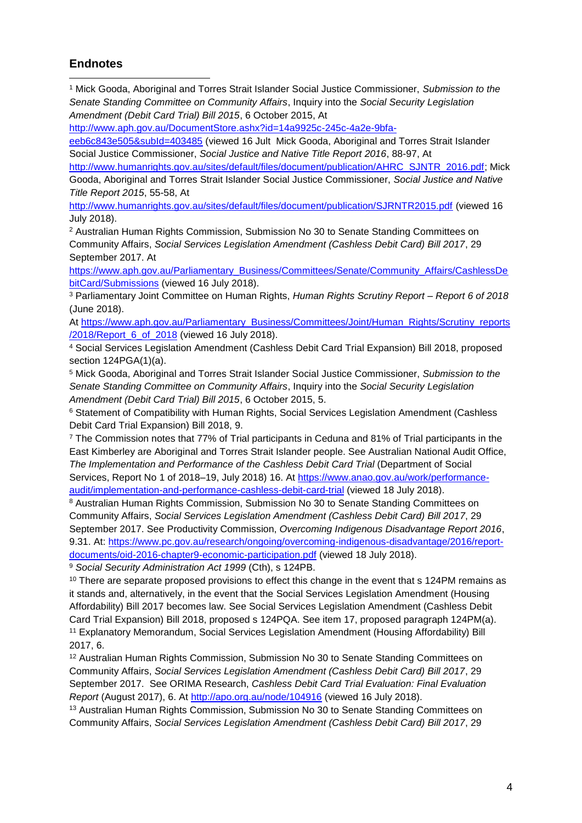## **Endnotes**

<sup>1</sup> Mick Gooda, Aboriginal and Torres Strait Islander Social Justice Commissioner, *Submission to the Senate Standing Committee on Community Affairs*, Inquiry into the *Social Security Legislation Amendment (Debit Card Trial) Bill 2015*, 6 October 2015, At  $\overline{a}$ 

[http://www.aph.gov.au/DocumentStore.ashx?id=14a9925c-245c-4a2e-9bfa-](http://www.aph.gov.au/DocumentStore.ashx?id=14a9925c-245c-4a2e-9bfa-eeb6c843e505&subId=403485)

[eeb6c843e505&subId=403485](http://www.aph.gov.au/DocumentStore.ashx?id=14a9925c-245c-4a2e-9bfa-eeb6c843e505&subId=403485) (viewed 16 Jult Mick Gooda, Aboriginal and Torres Strait Islander Social Justice Commissioner, *Social Justice and Native Title Report 2016*, 88-97, At

[http://www.humanrights.gov.au/sites/default/files/document/publication/AHRC\\_SJNTR\\_2016.pdf;](http://www.humanrights.gov.au/sites/default/files/document/publication/AHRC_SJNTR_2016.pdf) Mick Gooda, Aboriginal and Torres Strait Islander Social Justice Commissioner, *Social Justice and Native Title Report 2015*, 55-58, At

<http://www.humanrights.gov.au/sites/default/files/document/publication/SJRNTR2015.pdf> (viewed 16 July 2018).

<sup>2</sup> Australian Human Rights Commission, Submission No 30 to Senate Standing Committees on Community Affairs, *Social Services Legislation Amendment (Cashless Debit Card) Bill 2017*, 29 September 2017. At

[https://www.aph.gov.au/Parliamentary\\_Business/Committees/Senate/Community\\_Affairs/CashlessDe](https://www.aph.gov.au/Parliamentary_Business/Committees/Senate/Community_Affairs/CashlessDebitCard/Submissions) [bitCard/Submissions](https://www.aph.gov.au/Parliamentary_Business/Committees/Senate/Community_Affairs/CashlessDebitCard/Submissions) (viewed 16 July 2018).

<sup>3</sup> Parliamentary Joint Committee on Human Rights, *Human Rights Scrutiny Report – Report 6 of 2018*  (June 2018).

At [https://www.aph.gov.au/Parliamentary\\_Business/Committees/Joint/Human\\_Rights/Scrutiny\\_reports](https://www.aph.gov.au/Parliamentary_Business/Committees/Joint/Human_Rights/Scrutiny_reports/2018/Report_6_of_2018) [/2018/Report\\_6\\_of\\_2018](https://www.aph.gov.au/Parliamentary_Business/Committees/Joint/Human_Rights/Scrutiny_reports/2018/Report_6_of_2018) (viewed 16 July 2018).

<sup>4</sup> Social Services Legislation Amendment (Cashless Debit Card Trial Expansion) Bill 2018, proposed section 124PGA(1)(a).

<sup>5</sup> Mick Gooda, Aboriginal and Torres Strait Islander Social Justice Commissioner, *Submission to the Senate Standing Committee on Community Affairs*, Inquiry into the *Social Security Legislation Amendment (Debit Card Trial) Bill 2015*, 6 October 2015, 5.

<sup>6</sup> Statement of Compatibility with Human Rights, Social Services Legislation Amendment (Cashless Debit Card Trial Expansion) Bill 2018, 9.

<sup>7</sup> The Commission notes that 77% of Trial participants in Ceduna and 81% of Trial participants in the East Kimberley are Aboriginal and Torres Strait Islander people. See Australian National Audit Office, The Implementation and Performance of the Cashless Debit Card Trial (Department of Social Services, Report No 1 of 2018–19, July 2018) 16. At [https://www.anao.gov.au/work/performance](https://www.anao.gov.au/work/performance-audit/implementation-and-performance-cashless-debit-card-trial)[audit/implementation-and-performance-cashless-debit-card-trial](https://www.anao.gov.au/work/performance-audit/implementation-and-performance-cashless-debit-card-trial) (viewed 18 July 2018).

8 Australian Human Rights Commission, Submission No 30 to Senate Standing Committees on Community Affairs, *Social Services Legislation Amendment (Cashless Debit Card) Bill 2017*, 29 September 2017. See Productivity Commission, *Overcoming Indigenous Disadvantage Report 2016*, 9.31. At: [https://www.pc.gov.au/research/ongoing/overcoming-indigenous-disadvantage/2016/report](https://www.pc.gov.au/research/ongoing/overcoming-indigenous-disadvantage/2016/report-documents/oid-2016-chapter9-economic-participation.pdf)[documents/oid-2016-chapter9-economic-participation.pdf](https://www.pc.gov.au/research/ongoing/overcoming-indigenous-disadvantage/2016/report-documents/oid-2016-chapter9-economic-participation.pdf) (viewed 18 July 2018).

<sup>9</sup> *Social Security Administration Act 1999* (Cth), s 124PB.

<sup>10</sup> There are separate proposed provisions to effect this change in the event that s 124PM remains as it stands and, alternatively, in the event that the Social Services Legislation Amendment (Housing Affordability) Bill 2017 becomes law. See Social Services Legislation Amendment (Cashless Debit Card Trial Expansion) Bill 2018, proposed s 124PQA. See item 17, proposed paragraph 124PM(a). <sup>11</sup> Explanatory Memorandum, Social Services Legislation Amendment (Housing Affordability) Bill 2017, 6.

<sup>12</sup> Australian Human Rights Commission, Submission No 30 to Senate Standing Committees on Community Affairs, *Social Services Legislation Amendment (Cashless Debit Card) Bill 2017*, 29 September 2017. See ORIMA Research, *Cashless Debit Card Trial Evaluation: Final Evaluation Report* (August 2017), 6. At<http://apo.org.au/node/104916> (viewed 16 July 2018).

<sup>13</sup> Australian Human Rights Commission, Submission No 30 to Senate Standing Committees on Community Affairs, *Social Services Legislation Amendment (Cashless Debit Card) Bill 2017*, 29